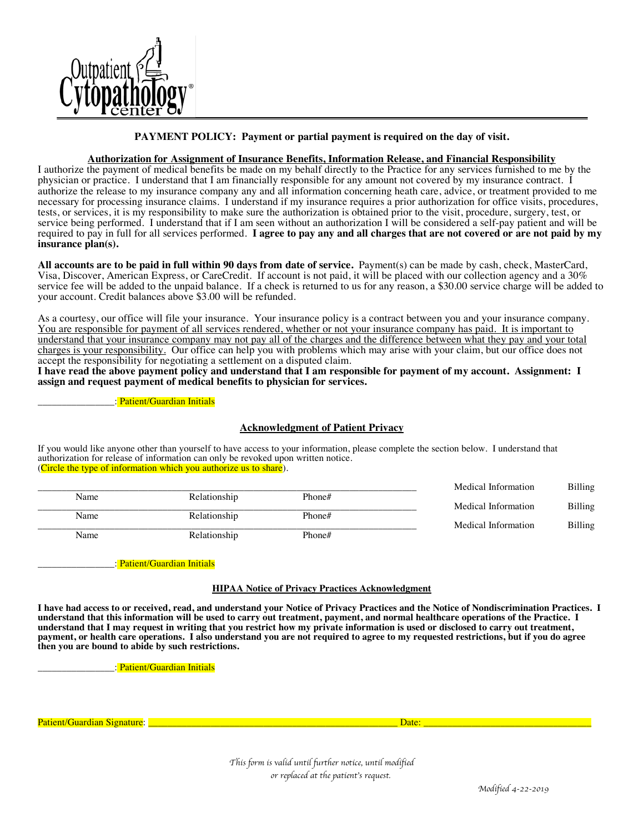

**PAYMENT POLICY: Payment or partial payment is required on the day of visit.**

#### **Authorization for Assignment of Insurance Benefits, Information Release, and Financial Responsibility**

I authorize the payment of medical benefits be made on my behalf directly to the Practice for any services furnished to me by the physician or practice. I understand that I am financially responsible for any amount not covered by my insurance contract. I authorize the release to my insurance company any and all information concerning heath care, advice, or treatment provided to me necessary for processing insurance claims. I understand if my insurance requires a prior authorization for office visits, procedures, tests, or services, it is my responsibility to make sure the authorization is obtained prior to the visit, procedure, surgery, test, or service being performed. I understand that if I am seen without an authorization I will be considered a self-pay patient and will be required to pay in full for all services performed. **I agree to pay any and all charges that are not covered or are not paid by my insurance plan(s).** 

**All accounts are to be paid in full within 90 days from date of service.** Payment(s) can be made by cash, check, MasterCard, Visa, Discover, American Express, or CareCredit. If account is not paid, it will be placed with our collection agency and a 30% service fee will be added to the unpaid balance. If a check is returned to us for any reason, a \$30.00 service charge will be added to your account. Credit balances above \$3.00 will be refunded.

As a courtesy, our office will file your insurance. Your insurance policy is a contract between you and your insurance company. You are responsible for payment of all services rendered, whether or not your insurance company has paid. It is important to understand that your insurance company may not pay all of the charges and the difference between what they pay and your total charges is your responsibility. Our office can help you with problems which may arise with your claim, but our office does not accept the responsibility for negotiating a settlement on a disputed claim.

**I have read the above payment policy and understand that I am responsible for payment of my account. Assignment: I assign and request payment of medical benefits to physician for services.**

: Patient/Guardian Initials

#### **Acknowledgment of Patient Privacy**

If you would like anyone other than yourself to have access to your information, please complete the section below. I understand that authorization for release of information can only be revoked upon written notice. (Circle the type of information which you authorize us to share).

|      |              |        | Medical Information | <b>Billing</b> |
|------|--------------|--------|---------------------|----------------|
| Name | Relationship | Phone# |                     |                |
|      |              |        | Medical Information | Billing        |
| Name | Relationship | Phone# |                     |                |
|      |              |        | Medical Information | <b>Billing</b> |
| Name | Relationship | Phone# |                     |                |

\_\_\_\_\_\_\_\_\_\_\_\_\_\_\_\_: Patient/Guardian Initials

#### **HIPAA Notice of Privacy Practices Acknowledgment**

**I have had access to or received, read, and understand your Notice of Privacy Practices and the Notice of Nondiscrimination Practices. I understand that this information will be used to carry out treatment, payment, and normal healthcare operations of the Practice. I understand that I may request in writing that you restrict how my private information is used or disclosed to carry out treatment, payment, or health care operations. I also understand you are not required to agree to my requested restrictions, but if you do agree then you are bound to abide by such restrictions.** 

: Patient/Guardian Initials

Patient/Guardian Signature: \_\_\_\_\_\_\_\_\_\_\_\_\_\_\_\_\_\_\_\_\_\_\_\_\_\_\_\_\_\_\_\_\_\_\_\_\_\_\_\_\_\_\_\_\_\_\_\_\_\_\_\_ Date: \_\_\_\_\_\_\_\_\_\_\_\_\_\_\_\_\_\_\_\_\_\_\_\_\_\_\_\_\_\_\_\_\_\_\_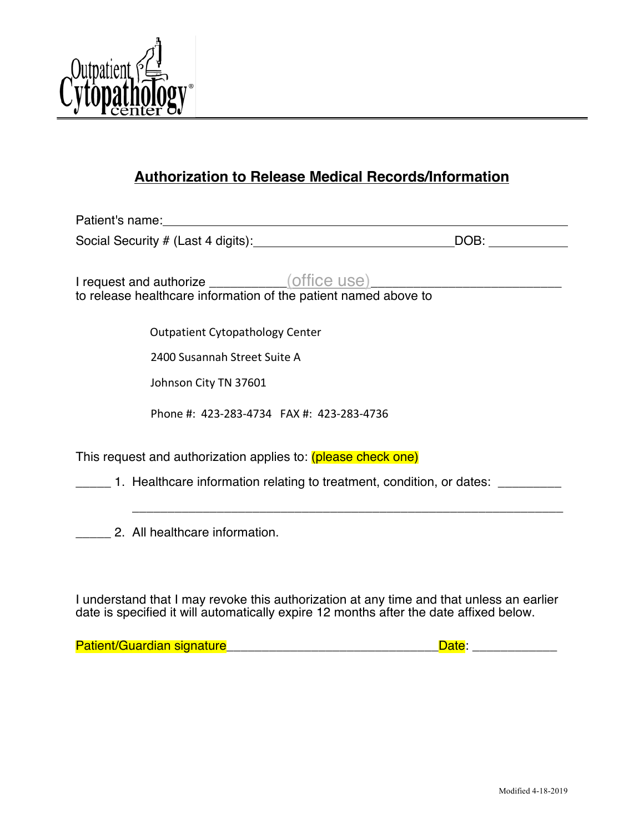

# **Authorization to Release Medical Records/Information**

| Patient's name: <u>contract and a series of the series of the series of the series of the series of the series of the series of the series of the series of the series of the series of the series of the series of the series o</u> |  |                                                                             |  |
|--------------------------------------------------------------------------------------------------------------------------------------------------------------------------------------------------------------------------------------|--|-----------------------------------------------------------------------------|--|
| DOB:                                                                                                                                                                                                                                 |  |                                                                             |  |
|                                                                                                                                                                                                                                      |  |                                                                             |  |
| I request and authorize ____________(office use)                                                                                                                                                                                     |  |                                                                             |  |
| to release healthcare information of the patient named above to                                                                                                                                                                      |  |                                                                             |  |
| <b>Outpatient Cytopathology Center</b>                                                                                                                                                                                               |  |                                                                             |  |
| 2400 Susannah Street Suite A                                                                                                                                                                                                         |  |                                                                             |  |
| Johnson City TN 37601                                                                                                                                                                                                                |  |                                                                             |  |
| Phone #: 423-283-4734 FAX #: 423-283-4736                                                                                                                                                                                            |  |                                                                             |  |
| This request and authorization applies to: (please check one)                                                                                                                                                                        |  |                                                                             |  |
|                                                                                                                                                                                                                                      |  | 1. Healthcare information relating to treatment, condition, or dates: _____ |  |
|                                                                                                                                                                                                                                      |  |                                                                             |  |
| 2. All healthcare information.                                                                                                                                                                                                       |  |                                                                             |  |
|                                                                                                                                                                                                                                      |  |                                                                             |  |

I understand that I may revoke this authorization at any time and that unless an earlier date is specified it will automatically expire 12 months after the date affixed below.

Patient/Guardian signature<br>
Patient/Guardian signature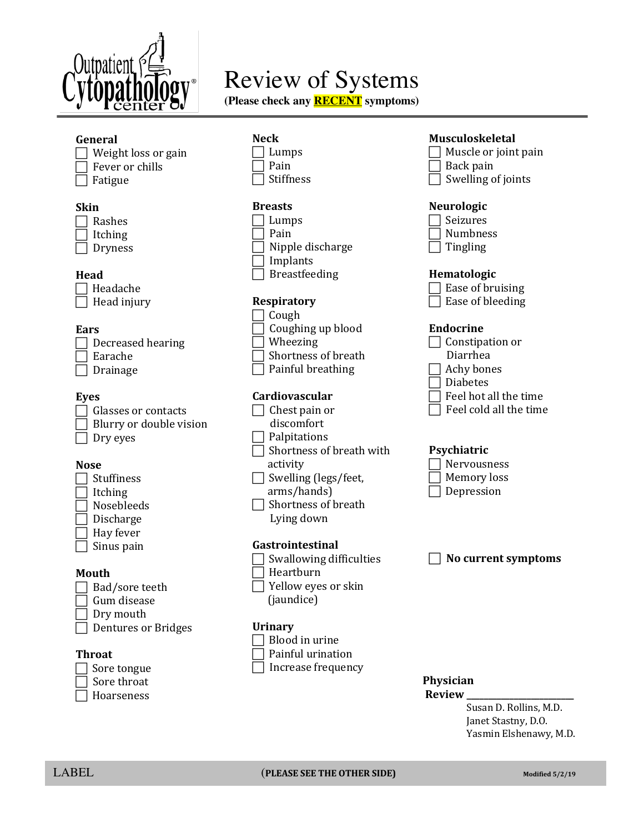

# Review of Systems

**(Please check any RECENT symptoms)**

# **General**

| $\Box$ Weight loss or gain |
|----------------------------|
| $\Box$ Fever or chills     |
| $\Box$ Fatigue             |

## **Skin**

| Rashes  |
|---------|
| Itching |
| Dryness |

# **Head**

| Headache    |
|-------------|
| Head injury |

# **Ears**

| Decreased hearing |
|-------------------|
| Earache           |
| Drainage          |

# **Eyes**

| Glasses or contacts     |
|-------------------------|
| Blurry or double vision |
| Dry eyes                |

# **Nose**

| Stuffiness |
|------------|
| Itching    |
| Nosebleeds |
| Discharge  |

| í<br>۰.<br>M.<br>۰. |
|---------------------|
|                     |

| Hay fever  $\exists$  Sinus pain

## **Mouth**

 $\Box$  Bad/sore teeth  $\sqcap$  Gum disease  $\sqsupset$  Dry mouth  $\Box$  Dentures or Bridges

# **Throat**



7 Hoarseness

# **Neck**

- $\Box$  Lumps Pain
- **Stiffness**

# **Breasts**

- $\Box$  Lumps Pain
- Nipple discharge
- Implants
- **Breastfeeding**

# **Respiratory**

- $\Box$  Cough
- **Coughing up blood**  $\exists$  Wheezing
- 
- Shortness of breath  $\exists$  Painful breathing

# **Cardiovascular**

- $\Box$  Chest pain or discomfort  $\Box$  Palpitations
- $\Box$  Shortness of breath with activity
- $\Box$  Swelling (legs/feet, arms/hands)
- $\Box$  Shortness of breath Lying down

## **Gastrointestinal**

- $\Box$  Swallowing difficulties
- Heartburn
- $\overline{\phantom{x}}$  Yellow eyes or skin (jaundice)

## **Urinary**



- Painful urination
- Increase frequency

# **Musculoskeletal**

Muscle or joint pain Back pain  $\Box$  Swelling of joints

# **Neurologic**

| Seizures        |
|-----------------|
| <b>Numbness</b> |
| <b>Tingling</b> |

# **Hematologic**

- $\Box$  Ease of bruising
- $\Box$  Ease of bleeding

## **Endocrine**

| Constipation or        |
|------------------------|
| Diarrhea               |
| □ Achy bones           |
| <b>Diabetes</b>        |
| Feel hot all the time  |
| Feel cold all the time |

# **Psychiatric**

| Nervousness |
|-------------|
| Memory loss |
| Depression  |

**No current symptoms** 

# **Physician**

**Review \_\_\_\_\_\_\_\_\_\_\_\_\_\_\_\_\_\_\_\_\_\_\_\_\_**

Susan D. Rollins, M.D. Janet Stastny, D.O. Yasmin Elshenawy, M.D.

I